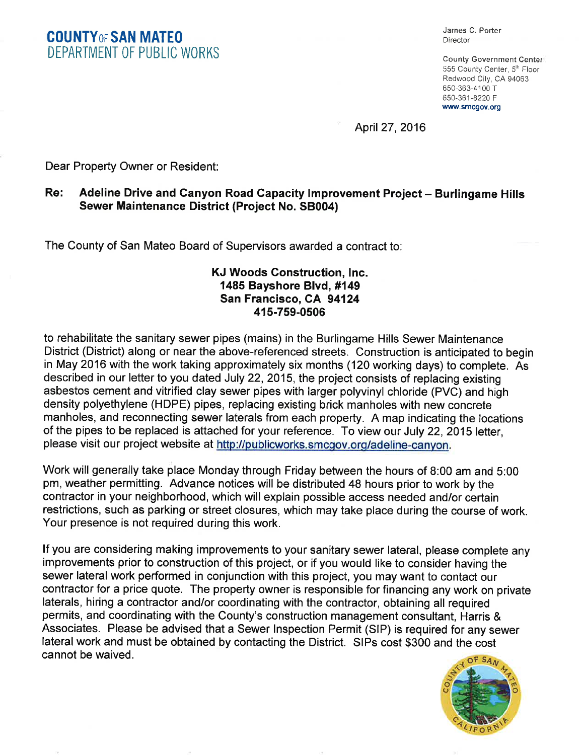COUNTYoF SAN MATE0 DEPARTMENT OF PUBLIC WORKS

James C. Porter **Director** 

County Government Genter 555 County Center, 5<sup>th</sup> Floor Redwood City, CA 94063 650-363-4100 T 650-361 -8220 F www.smcgov.org

April27,2016

Dear Property Owner or Resident:

## Re: Adeline Drive and Canyon Road Capacity Improvement Project - Burlingame Hills Sewer Maintenance District (Project No. SB004)

The County of San Mateo Board of Supervisors awarded a contract to:

## KJ Woods Construction, lnc. 1485 Bayshore Blvd, #149 San Francisco, CA 94124 415-759-0506

to rehabilitate the sanitary sewer pipes (mains) in the Burlingame Hills Sewer Maintenance District (District) along or near the above-referenced streets. Construction is anticipated to begin in May 2016 with the work taking approximately six months (120 working days) to complete. As described in our letter to you dated July 22,2015, the project consists of replacing existing asbestos cement and vitrified clay sewer pipes with larger polyvinyl chloride (PVC) and high density polyethylene (HDPE) pipes, replacing existing brick manholes with new concrete manholes, and reconnecting sewer laterals from each property. A map indicating the locations of the pipes to be replaced is attached for your reference. To view our July 22,2015 letter, please visit our project website at http://publicworks.smcgov.org/adeline-canyon.

Work will generally take place Monday through Friday between the hours of 8:00 am and 5:00 pm, weather permitting. Advance notices will be distributed 48 hours prior to work by the contractor in your neighborhood, which will explain possible access needed and/or ceftain restrictions, such as parking or street closures, which may take place during the course of work. Your presence is not required during this work.

lf you are considering making improvements to your sanitary sewer lateral, please complete any improvements prior to construction of this project, or if you would like to consider having the sewer lateral work performed in conjunction with this project, you may want to contact our contractor for a price quote. The property owner is responsible for financing any work on private laterals, hiring a contractor and/or coordinating with the contractor, obtaining all required permits, and coordinating with the County's construction management consultant, Harris & Associates. Please be advised that a Sewer Inspection Permit (SlP) is required for any sewer lateral work and must be obtained by contacting the District. SlPs cost \$300 and the cost cannot be waived.

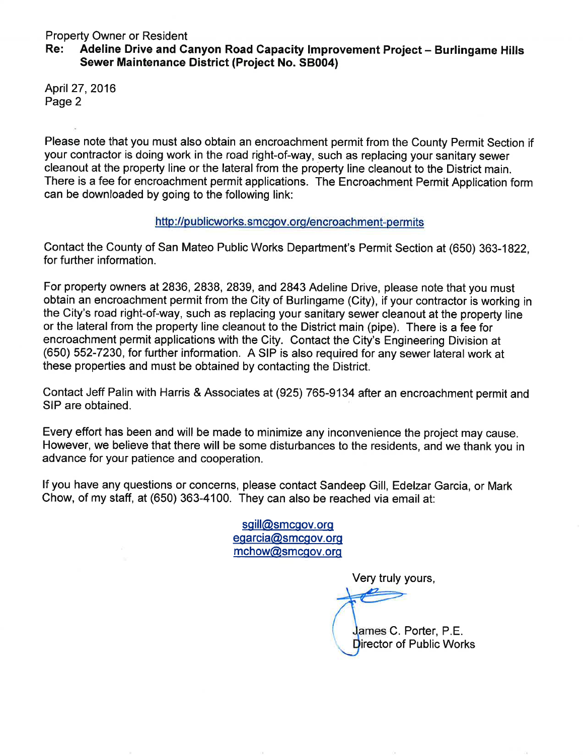# Property Owner or Resident<br>Re: Adeline Drive and Canyon Road Capacity Improvement Project – Burlingame Hills Sewer Maintenance District (Project No. 58004)

April27,2016 Page 2

Please note that you must also obtain an encroachment permit from the County Permit Section if your contractor is doing work in the road right-of-way, such as replacing your sanitary sewer cleanout at the property line or the lateral from the property line cleanout to the District main. There is a fee for encroachment permit applications. The Encroachment Permit Application form can be downloaded by going to the following link:

### http://publicworks.smcgov.org/encroachment-permits

Contact the County of San Mateo Public Works Department's Permit Section at (650) 363-1822, for further information.

For property owners at 2836, 2838, 2839, and 2843 Adeline Drive, please note that you must obtain an encroachment permit from the City of Burlingame (City), if your contractor is working in the City's road right-of-way, such as replacing your sanitary sewer cleanout at the property line or the lateral from the property line cleanout to the District main (pipe). There is a fee for encroachment permit applications with the City. Contact the City's Engineering Division at (650) 552-7230, for further information. A SIP is also required for any sewer lateral work at these properties and must be obtained by contacting the District.

Contact Jeff Palin with Harris & Associates at (925) 765-9134 after an encroachment permit and SIP are obtained.

Every effort has been and will be made to minimize any inconvenience the project may cause. However, we believe that there will be some disturbances to the residents, and we thank you in advance for your patience and cooperation.

lf you have any questions or concerns, please contact Sandeep Gill, Edelzar Garcia, or Mark Chow, of my staff, at (650) 363-4100. They can also be reached via email at:

> sgill@smcgov.org eqarcia@smcqov.orq mchow@smcqov.orq

> > Very truly yours,

James C. Porter, P.E. Director of Public Works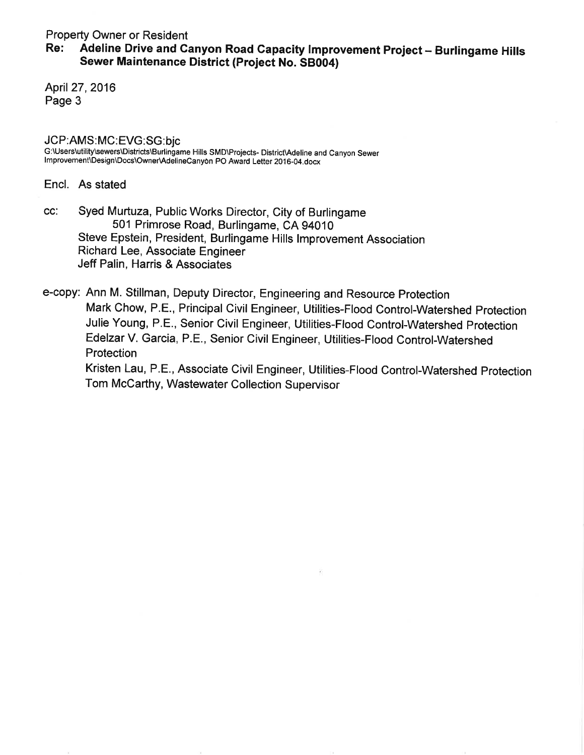# Property Owner or Resident<br>Re: Adeline Drive and Canyon Road Capacity Improvement Project – Burlingame Hills Sewer Maintenance District (Project No. 58004)

April 27, 2016 Page 3

JCP:AMS:MC:EVG:SG:bjc<br>G:\Users\utility\sewers\Districts\Burlingame Hills SMD\Projects- District\Adeline and Canyon Sewer Improvement\Design\Docs\Owner\AdelineCanyon PO Award Letter 2016-04.docx

Encl. As stated

cc: Syed Murtuza, Public Works Director, City of Burlingame 501 Primrose Road, Burlingame, CA 94010 Steve Epstein, President, Burlingame Hills lmprovement Association Richard Lee, Associate Engineer Jeff Palin, Harris & Associates

e-copy: Ann M. Stillman, Deputy Director, Engineering and Resource Protection Mark Chow, P.E., Principal Civil Engineer, Utilities-Flood Control-Watershed protection Julie Young, P.5., Senior Civil Engineer, Utilities-Flood Control-Watershed Protection Edelzar V. Garcia, P.E., Senior Civil Engineer, Utilities-Flood Control-Watershed Protection Kristen Lau, P.E., Associate Civil Engineer, Utilities-Flood Control-Watershed Protection Tom McCarthy, Wastewater Collection Supervisor